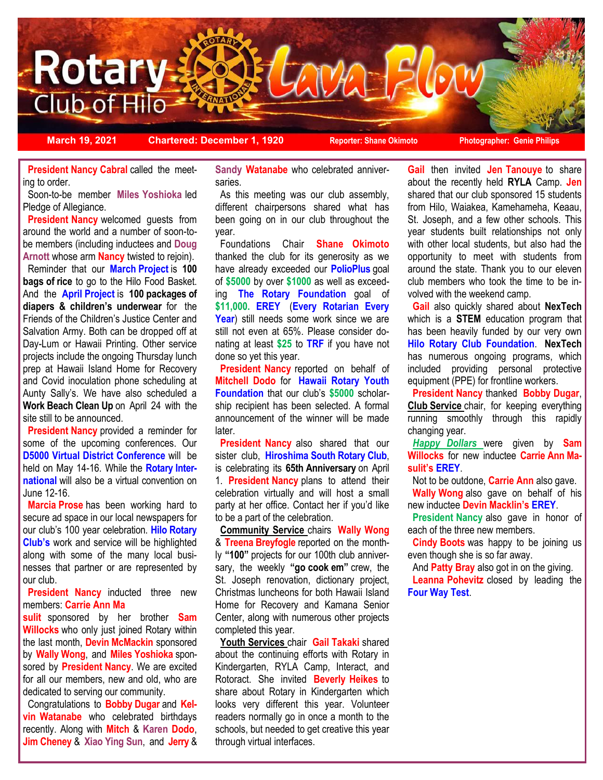

**March 19, 2021 Chartered: December 1, 1920 Reporter: Shane Okimoto Photographer: Genie Philips**

**President Nancy Cabral called the meet**ing to order.

 Soon-to-be member **Miles Yoshioka** led Pledge of Allegiance.

**President Nancy** welcomed guests from around the world and a number of soon-tobe members (including inductees and **Doug Arnott** whose arm **Nancy** twisted to rejoin).

 Reminder that our **March Project** is **100 bags of rice** to go to the Hilo Food Basket. And the **April Project** is **100 packages of diapers & children's underwear** for the Friends of the Children's Justice Center and Salvation Army. Both can be dropped off at Day-Lum or Hawaii Printing. Other service projects include the ongoing Thursday lunch prep at Hawaii Island Home for Recovery and Covid inoculation phone scheduling at Aunty Sally's. We have also scheduled a **Work Beach Clean Up** on April 24 with the site still to be announced.

**President Nancy** provided a reminder for some of the upcoming conferences. Our **D5000 Virtual District Conference** will be held on May 14-16. While the **Rotary International** will also be a virtual convention on June 12-16.

 **Marcia Prose** has been working hard to secure ad space in our local newspapers for our club's 100 year celebration. **Hilo Rotary Club's** work and service will be highlighted along with some of the many local businesses that partner or are represented by our club.

**President Nancy inducted three new** members: **Carrie Ann Ma**

**sulit** sponsored by her brother **Sam Willocks** who only just joined Rotary within the last month, **Devin McMackin** sponsored by **Wally Wong**, and **Miles Yoshioka** sponsored by **President Nancy**. We are excited for all our members, new and old, who are dedicated to serving our community.

 Congratulations to **Bobby Dugar** and **Kelvin Watanabe** who celebrated birthdays recently. Along with **Mitch** & **Karen Dodo**, **Jim Cheney** & **Xiao Ying Sun**, and **Jerry** & **Sandy Watanabe** who celebrated anniversaries.

 As this meeting was our club assembly, different chairpersons shared what has been going on in our club throughout the year.

 Foundations Chair **Shane Okimoto**  thanked the club for its generosity as we have already exceeded our **PolioPlus** goal of **\$5000** by over **\$1000** as well as exceeding **The Rotary Foundation** goal of **\$11,000. EREY** (**Every Rotarian Every**  Year) still needs some work since we are still not even at 65%. Please consider donating at least **\$25** to **TRF** if you have not done so yet this year.

 **President Nancy** reported on behalf of **Mitchell Dodo** for **Hawaii Rotary Youth Foundation** that our club's **\$5000** scholarship recipient has been selected. A formal announcement of the winner will be made later.

**President Nancy also shared that our** sister club, **Hiroshima South Rotary Club**, is celebrating its **65th Anniversary** on April 1. **President Nancy** plans to attend their celebration virtually and will host a small party at her office. Contact her if you'd like to be a part of the celebration.

 **Community Service** chairs **Wally Wong**  & **Treena Breyfogle** reported on the monthly **"100"** projects for our 100th club anniversary, the weekly **"go cook em"** crew, the St. Joseph renovation, dictionary project, Christmas luncheons for both Hawaii Island Home for Recovery and Kamana Senior Center, along with numerous other projects completed this year.

 **Youth Services** chair **Gail Takaki** shared about the continuing efforts with Rotary in Kindergarten, RYLA Camp, Interact, and Rotoract. She invited **Beverly Heikes** to share about Rotary in Kindergarten which looks very different this year. Volunteer readers normally go in once a month to the schools, but needed to get creative this year through virtual interfaces.

**Gail** then invited **Jen Tanouye** to share about the recently held **RYLA** Camp. **Jen** shared that our club sponsored 15 students from Hilo, Waiakea, Kamehameha, Keaau, St. Joseph, and a few other schools. This year students built relationships not only with other local students, but also had the opportunity to meet with students from around the state. Thank you to our eleven club members who took the time to be involved with the weekend camp.

 **Gail** also quickly shared about **NexTech** which is a **STEM** education program that has been heavily funded by our very own **Hilo Rotary Club Foundation**. **NexTech** has numerous ongoing programs, which included providing personal protective equipment (PPE) for frontline workers.

 **President Nancy** thanked **Bobby Dugar**, **Club Service** chair, for keeping everything running smoothly through this rapidly changing year.

 *Happy Dollars* were given by **Sam Willocks** for new inductee **Carrie Ann Masulit's EREY**.

Not to be outdone, **Carrie Ann** also gave.

 **Wally Wong** also gave on behalf of his new inductee **Devin Macklin's EREY**.

 **President Nancy** also gave in honor of each of the three new members.

 **Cindy Boots** was happy to be joining us even though she is so far away.

 And **Patty Bray** also got in on the giving. **Leanna Pohevitz** closed by leading the **Four Way Test**.